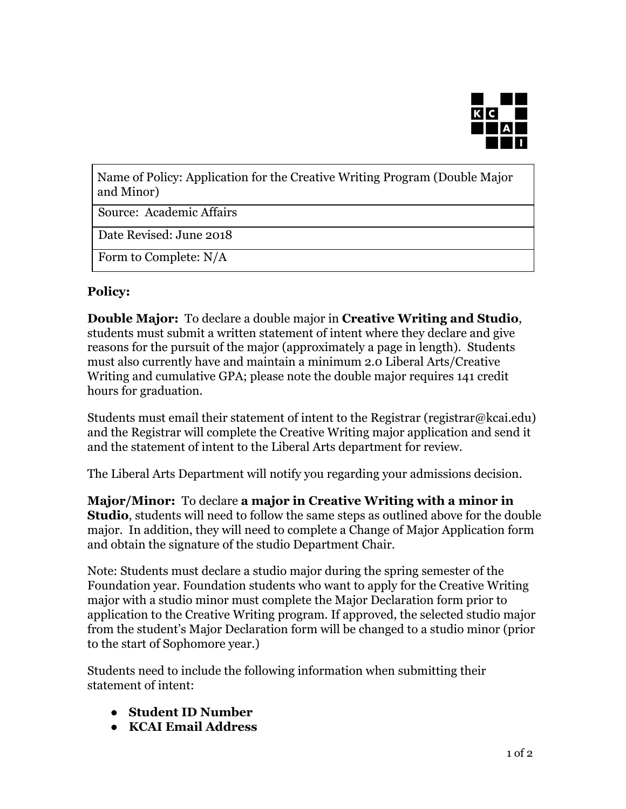

Name of Policy: Application for the Creative Writing Program (Double Major and Minor)

Source: Academic Affairs

Date Revised: June 2018

Form to Complete: N/A

## **Policy:**

**Double Major:** To declare a double major in **Creative Writing and Studio**, students must submit a written statement of intent where they declare and give reasons for the pursuit of the major (approximately a page in length). Students must also currently have and maintain a minimum 2.0 Liberal Arts/Creative Writing and cumulative GPA; please note the double major requires 141 credit hours for graduation.

Students must email their statement of intent to the Registrar (registrar@kcai.edu) and the Registrar will complete the Creative Writing major application and send it and the statement of intent to the Liberal Arts department for review.

The Liberal Arts Department will notify you regarding your admissions decision.

**Major/Minor:** To declare **a major in Creative Writing with a minor in Studio**, students will need to follow the same steps as outlined above for the double major. In addition, they will need to complete a Change of Major Application form and obtain the signature of the studio Department Chair.

Note: Students must declare a studio major during the spring semester of the Foundation year. Foundation students who want to apply for the Creative Writing major with a studio minor must complete the Major Declaration form prior to application to the Creative Writing program. If approved, the selected studio major from the student's Major Declaration form will be changed to a studio minor (prior to the start of Sophomore year.)

Students need to include the following information when submitting their statement of intent:

- **Student ID Number**
- **KCAI Email Address**